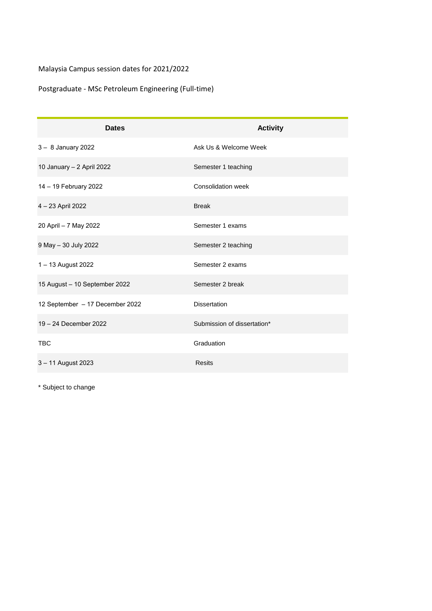## Malaysia Campus session dates for 2021/2022

## Postgraduate - MSc Petroleum Engineering (Full-time)

| <b>Dates</b>                    | <b>Activity</b>             |
|---------------------------------|-----------------------------|
| 3 - 8 January 2022              | Ask Us & Welcome Week       |
| 10 January - 2 April 2022       | Semester 1 teaching         |
| 14 - 19 February 2022           | Consolidation week          |
| 4 - 23 April 2022               | <b>Break</b>                |
| 20 April - 7 May 2022           | Semester 1 exams            |
| 9 May - 30 July 2022            | Semester 2 teaching         |
| 1-13 August 2022                | Semester 2 exams            |
| 15 August - 10 September 2022   | Semester 2 break            |
| 12 September - 17 December 2022 | <b>Dissertation</b>         |
| 19 - 24 December 2022           | Submission of dissertation* |
| <b>TBC</b>                      | Graduation                  |
| 3 - 11 August 2023              | Resits                      |

\* Subject to change